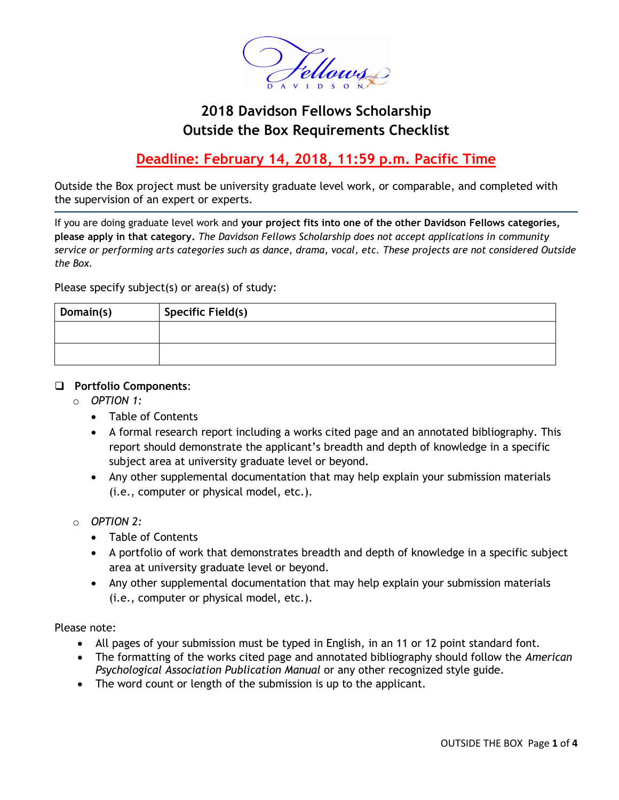

# **2018 Davidson Fellows Scholarship Outside the Box Requirements Checklist**

## **Deadline: February 14, 2018, 11:59 p.m. Pacific Time**

Outside the Box project must be university graduate level work, or comparable, and completed with the supervision of an expert or experts.

If you are doing graduate level work and **your project fits into one of the other Davidson Fellows categories, please apply in that category.** *The Davidson Fellows Scholarship does not accept applications in community service or performing arts categories such as dance, drama, vocal, etc. These projects are not considered Outside the Box.*

Please specify subject(s) or area(s) of study:

| Domain(s) | Specific Field(s) |
|-----------|-------------------|
|           |                   |
|           |                   |

#### **Portfolio Components**:

- o *OPTION 1:* 
	- Table of Contents
	- A formal research report including a works cited page and an annotated bibliography. This report should demonstrate the applicant's breadth and depth of knowledge in a specific subject area at university graduate level or beyond.
	- Any other supplemental documentation that may help explain your submission materials (i.e., computer or physical model, etc.).
- o *OPTION 2:* 
	- Table of Contents
	- A portfolio of work that demonstrates breadth and depth of knowledge in a specific subject area at university graduate level or beyond.
	- Any other supplemental documentation that may help explain your submission materials (i.e., computer or physical model, etc.).

Please note:

- All pages of your submission must be typed in English, in an 11 or 12 point standard font.
- The formatting of the works cited page and annotated bibliography should follow the *American Psychological Association Publication Manual* or any other recognized style guide.
- The word count or length of the submission is up to the applicant.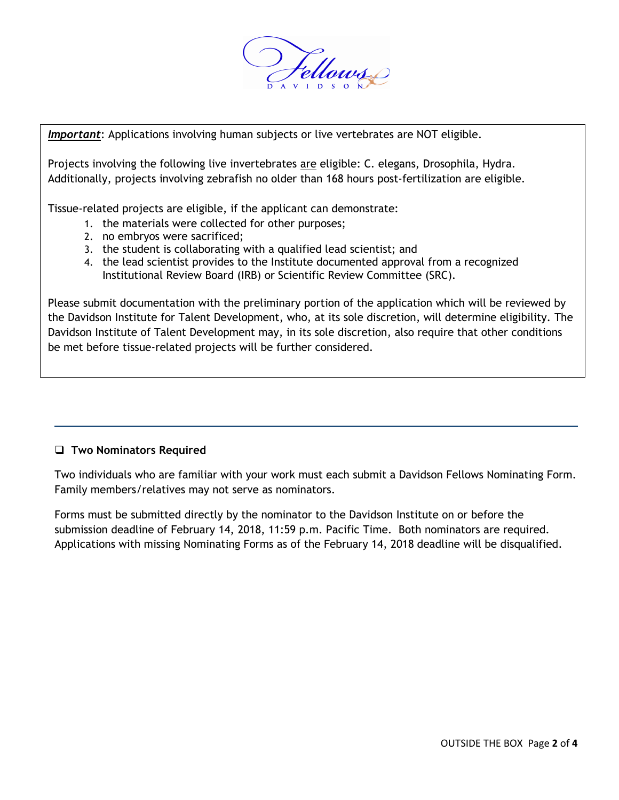

*Important*: Applications involving human subjects or live vertebrates are NOT eligible. *Important*: Applications involving human subjects or live vertebrates are NOT eligible.

Projects involving the following live invertebrates are eligible: C. elegans, Drosophila, Hydra. Projects involving the following live invertebrates are eligible: C. elegans, Drosophila, Hydra. Additionally, projects involving zebrafish no older than 168 hours post-fertilization are eligible. Additionally, projects involving zebrafish no older than 168 hours post-fertilization are eligible.

Tissue-related projects are eligible, if the applicant can demonstrate: Tissue-related projects are eligible, if the applicant can demonstrate:

- 1. the materials were collected for other purposes;
- 2. no embryos were sacrificed; 2. no embryos were sacrificed;
- 3. the student is collaborating with a qualified lead scientist; and 3. the student is collaborating with a qualified lead scientist; and
- 4. the lead scientist provides to the Institute documented approval from a recognized 4. the lead scientist provides to the Institute documented approval from a recognized Institutional Review Board (IRB) or Scientific Review Committee (SRC). Institutional Review Board (IRB) or Scientific Review Committee (SRC).

Please submit documentation with the preliminary portion of the application which will be reviewed by Please submit documentation with the preliminary portion of the application which will be reviewed by the Davidson Institute for Talent Development, who, at its sole discretion, will determine the Davidson Institute for Talent Development, who, at its sole discretion, will determine eligibility. The Davidson Institute of Talent Development may, in its sole discretion, also require that other conditions be met before tissue-related projects will be further considered.

### **Two Nominators Required**

Two individuals who are familiar with your work must each submit a Davidson Fellows Nominating Form. Family members/relatives may not serve as nominators.

Forms must be submitted directly by the nominator to the Davidson Institute on or before the submission deadline of February 14, 2018, 11:59 p.m. Pacific Time. Both nominators are required. Applications with missing Nominating Forms as of the February 14, 2018 deadline will be disqualified.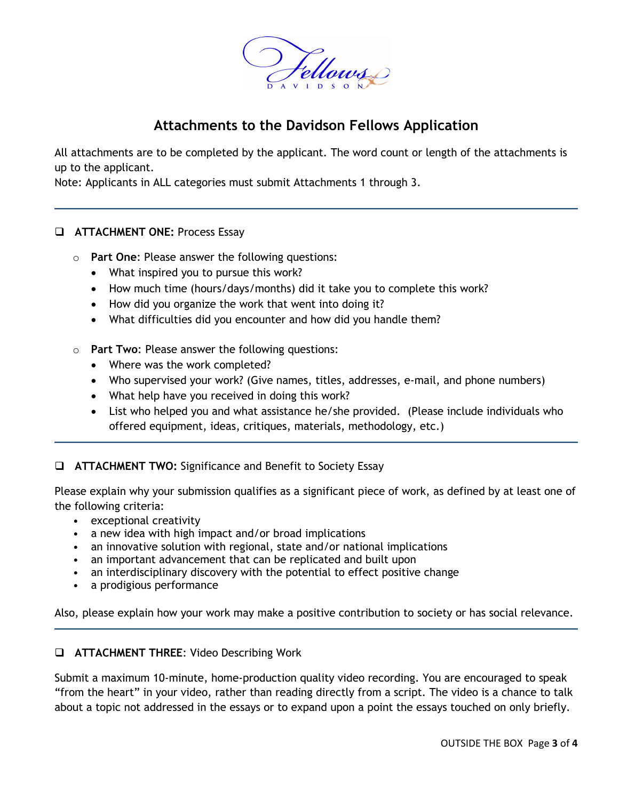

### **Attachments to the Davidson Fellows Application**

All attachments are to be completed by the applicant. The word count or length of the attachments is up to the applicant.

Note: Applicants in ALL categories must submit Attachments 1 through 3.

### **ATTACHMENT ONE: Process Essay**

- o **Part One**: Please answer the following questions:
	- What inspired you to pursue this work?
	- How much time (hours/days/months) did it take you to complete this work?
	- How did you organize the work that went into doing it?
	- What difficulties did you encounter and how did you handle them?
- o **Part Two**: Please answer the following questions:
	- Where was the work completed?
	- Who supervised your work? (Give names, titles, addresses, e-mail, and phone numbers)
	- What help have you received in doing this work?
	- List who helped you and what assistance he/she provided. (Please include individuals who offered equipment, ideas, critiques, materials, methodology, etc.)
- **ATTACHMENT TWO:** Significance and Benefit to Society Essay

Please explain why your submission qualifies as a significant piece of work, as defined by at least one of the following criteria:

- exceptional creativity
- a new idea with high impact and/or broad implications
- an innovative solution with regional, state and/or national implications
- an important advancement that can be replicated and built upon
- an interdisciplinary discovery with the potential to effect positive change
- a prodigious performance

Also, please explain how your work may make a positive contribution to society or has social relevance.

### **ATTACHMENT THREE**: Video Describing Work

Submit a maximum 10-minute, home-production quality video recording. You are encouraged to speak "from the heart" in your video, rather than reading directly from a script. The video is a chance to talk about a topic not addressed in the essays or to expand upon a point the essays touched on only briefly.